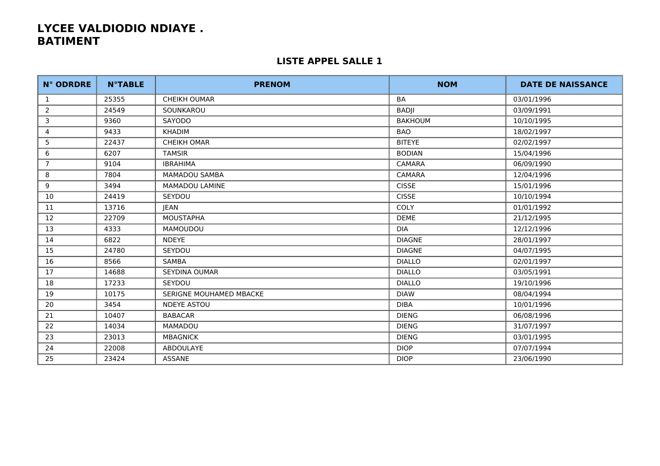| <b>N° ODRDRE</b> | <b>N°TABLE</b> | <b>PRENOM</b>           | <b>NOM</b>     | <b>DATE DE NAISSANCE</b> |
|------------------|----------------|-------------------------|----------------|--------------------------|
| 1                | 25355          | <b>CHEIKH OUMAR</b>     | <b>BA</b>      | 03/01/1996               |
| 2                | 24549          | SOUNKAROU               | <b>BADJI</b>   | 03/09/1991               |
| 3                | 9360           | SAYODO                  | <b>BAKHOUM</b> | 10/10/1995               |
| 4                | 9433           | <b>KHADIM</b>           | <b>BAO</b>     | 18/02/1997               |
| 5                | 22437          | <b>CHEIKH OMAR</b>      | <b>BITEYE</b>  | 02/02/1997               |
| 6                | 6207           | <b>TAMSIR</b>           | <b>BODIAN</b>  | 15/04/1996               |
| $\overline{7}$   | 9104           | <b>IBRAHIMA</b>         | CAMARA         | 06/09/1990               |
| 8                | 7804           | <b>MAMADOU SAMBA</b>    | <b>CAMARA</b>  | 12/04/1996               |
| 9                | 3494           | MAMADOU LAMINE          | <b>CISSE</b>   | 15/01/1996               |
| 10               | 24419          | SEYDOU                  | <b>CISSE</b>   | 10/10/1994               |
| 11               | 13716          | <b>JEAN</b>             | COLY           | 01/01/1992               |
| 12               | 22709          | <b>MOUSTAPHA</b>        | <b>DEME</b>    | 21/12/1995               |
| 13               | 4333           | MAMOUDOU                | <b>DIA</b>     | 12/12/1996               |
| 14               | 6822           | <b>NDEYE</b>            | <b>DIAGNE</b>  | 28/01/1997               |
| 15               | 24780          | SEYDOU                  | <b>DIAGNE</b>  | 04/07/1995               |
| 16               | 8566           | SAMBA                   | <b>DIALLO</b>  | 02/01/1997               |
| 17               | 14688          | <b>SEYDINA OUMAR</b>    | <b>DIALLO</b>  | 03/05/1991               |
| 18               | 17233          | SEYDOU                  | <b>DIALLO</b>  | 19/10/1996               |
| 19               | 10175          | SERIGNE MOUHAMED MBACKE | <b>DIAW</b>    | 08/04/1994               |
| 20               | 3454           | <b>NDEYE ASTOU</b>      | <b>DIBA</b>    | 10/01/1996               |
| 21               | 10407          | <b>BABACAR</b>          | <b>DIENG</b>   | 06/08/1996               |
| 22               | 14034          | <b>MAMADOU</b>          | <b>DIENG</b>   | 31/07/1997               |
| 23               | 23013          | <b>MBAGNICK</b>         | <b>DIENG</b>   | 03/01/1995               |
| 24               | 22008          | ABDOULAYE               | <b>DIOP</b>    | 07/07/1994               |
| 25               | 23424          | ASSANE                  | <b>DIOP</b>    | 23/06/1990               |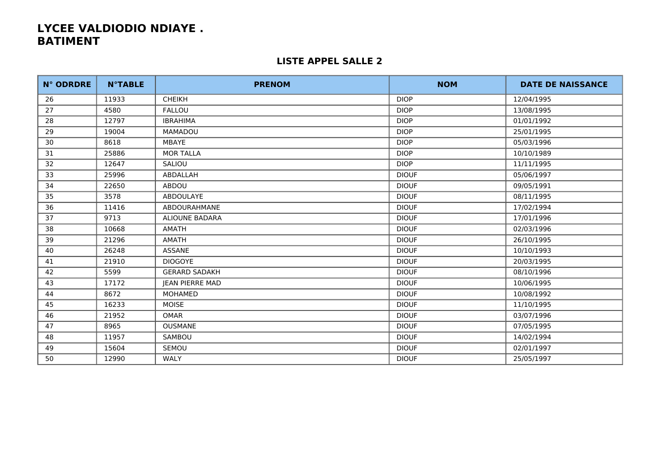| <b>N° ODRDRE</b> | <b>N°TABLE</b> | <b>PRENOM</b>         | <b>NOM</b>   | <b>DATE DE NAISSANCE</b> |
|------------------|----------------|-----------------------|--------------|--------------------------|
| 26               | 11933          | <b>CHEIKH</b>         | <b>DIOP</b>  | 12/04/1995               |
| 27               | 4580           | <b>FALLOU</b>         | <b>DIOP</b>  | 13/08/1995               |
| 28               | 12797          | <b>IBRAHIMA</b>       | <b>DIOP</b>  | 01/01/1992               |
| 29               | 19004          | <b>MAMADOU</b>        | <b>DIOP</b>  | 25/01/1995               |
| 30               | 8618           | MBAYE                 | <b>DIOP</b>  | 05/03/1996               |
| 31               | 25886          | <b>MOR TALLA</b>      | <b>DIOP</b>  | 10/10/1989               |
| 32               | 12647          | SALIOU                | <b>DIOP</b>  | 11/11/1995               |
| 33               | 25996          | ABDALLAH              | <b>DIOUF</b> | 05/06/1997               |
| 34               | 22650          | ABDOU                 | <b>DIOUF</b> | 09/05/1991               |
| 35               | 3578           | ABDOULAYE             | <b>DIOUF</b> | 08/11/1995               |
| 36               | 11416          | ABDOURAHMANE          | <b>DIOUF</b> | 17/02/1994               |
| 37               | 9713           | <b>ALIOUNE BADARA</b> | <b>DIOUF</b> | 17/01/1996               |
| 38               | 10668          | AMATH                 | <b>DIOUF</b> | 02/03/1996               |
| 39               | 21296          | AMATH                 | <b>DIOUF</b> | 26/10/1995               |
| 40               | 26248          | ASSANE                | <b>DIOUF</b> | 10/10/1993               |
| 41               | 21910          | <b>DIOGOYE</b>        | <b>DIOUF</b> | 20/03/1995               |
| 42               | 5599           | <b>GERARD SADAKH</b>  | <b>DIOUF</b> | 08/10/1996               |
| 43               | 17172          | JEAN PIERRE MAD       | <b>DIOUF</b> | 10/06/1995               |
| 44               | 8672           | <b>MOHAMED</b>        | <b>DIOUF</b> | 10/08/1992               |
| 45               | 16233          | <b>MOISE</b>          | <b>DIOUF</b> | 11/10/1995               |
| 46               | 21952          | <b>OMAR</b>           | <b>DIOUF</b> | 03/07/1996               |
| 47               | 8965           | <b>OUSMANE</b>        | <b>DIOUF</b> | 07/05/1995               |
| 48               | 11957          | SAMBOU                | <b>DIOUF</b> | 14/02/1994               |
| 49               | 15604          | <b>SEMOU</b>          | <b>DIOUF</b> | 02/01/1997               |
| 50               | 12990          | WALY                  | <b>DIOUF</b> | 25/05/1997               |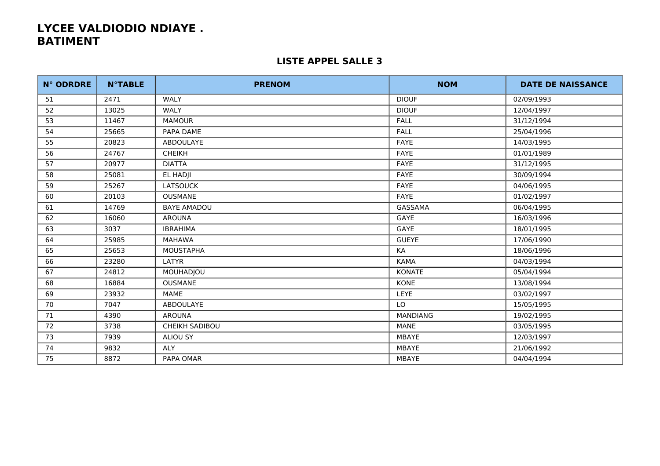| <b>N° ODRDRE</b> | <b>N°TABLE</b> | <b>PRENOM</b>         | <b>NOM</b>      | <b>DATE DE NAISSANCE</b> |
|------------------|----------------|-----------------------|-----------------|--------------------------|
| 51               | 2471           | WALY                  | <b>DIOUF</b>    | 02/09/1993               |
| 52               | 13025          | WALY                  | <b>DIOUF</b>    | 12/04/1997               |
| 53               | 11467          | <b>MAMOUR</b>         | <b>FALL</b>     | 31/12/1994               |
| 54               | 25665          | PAPA DAME             | <b>FALL</b>     | 25/04/1996               |
| 55               | 20823          | ABDOULAYE             | FAYE            | 14/03/1995               |
| 56               | 24767          | <b>CHEIKH</b>         | <b>FAYE</b>     | 01/01/1989               |
| 57               | 20977          | <b>DIATTA</b>         | FAYE            | 31/12/1995               |
| 58               | 25081          | EL HADJI              | <b>FAYE</b>     | 30/09/1994               |
| 59               | 25267          | <b>LATSOUCK</b>       | FAYE            | 04/06/1995               |
| 60               | 20103          | <b>OUSMANE</b>        | FAYE            | 01/02/1997               |
| 61               | 14769          | <b>BAYE AMADOU</b>    | GASSAMA         | 06/04/1995               |
| 62               | 16060          | <b>AROUNA</b>         | GAYE            | 16/03/1996               |
| 63               | 3037           | <b>IBRAHIMA</b>       | GAYE            | 18/01/1995               |
| 64               | 25985          | <b>MAHAWA</b>         | <b>GUEYE</b>    | 17/06/1990               |
| 65               | 25653          | <b>MOUSTAPHA</b>      | KA              | 18/06/1996               |
| 66               | 23280          | LATYR                 | <b>KAMA</b>     | 04/03/1994               |
| 67               | 24812          | MOUHADJOU             | KONATE          | 05/04/1994               |
| 68               | 16884          | <b>OUSMANE</b>        | <b>KONE</b>     | 13/08/1994               |
| 69               | 23932          | <b>MAME</b>           | LEYE            | 03/02/1997               |
| 70               | 7047           | ABDOULAYE             | LO              | 15/05/1995               |
| 71               | 4390           | <b>AROUNA</b>         | <b>MANDIANG</b> | 19/02/1995               |
| 72               | 3738           | <b>CHEIKH SADIBOU</b> | <b>MANE</b>     | 03/05/1995               |
| 73               | 7939           | <b>ALIOU SY</b>       | MBAYE           | 12/03/1997               |
| 74               | 9832           | <b>ALY</b>            | MBAYE           | 21/06/1992               |
| 75               | 8872           | PAPA OMAR             | MBAYE           | 04/04/1994               |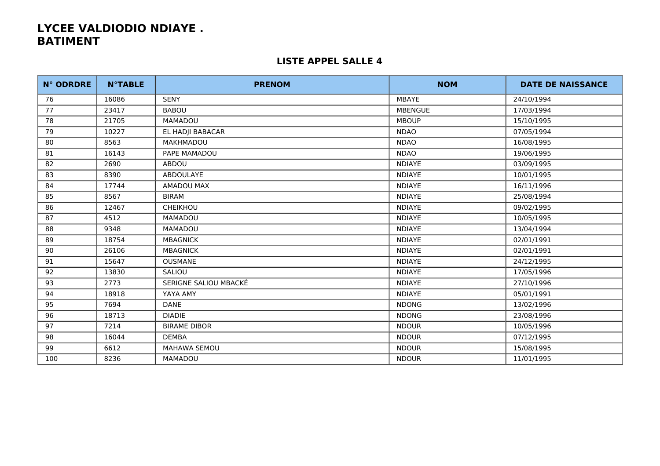| <b>N° ODRDRE</b> | <b>N°TABLE</b> | <b>PRENOM</b>         | <b>NOM</b>     | <b>DATE DE NAISSANCE</b> |
|------------------|----------------|-----------------------|----------------|--------------------------|
| 76               | 16086          | <b>SENY</b>           | <b>MBAYE</b>   | 24/10/1994               |
| 77               | 23417          | <b>BABOU</b>          | <b>MBENGUE</b> | 17/03/1994               |
| 78               | 21705          | MAMADOU               | <b>MBOUP</b>   | 15/10/1995               |
| 79               | 10227          | EL HADJI BABACAR      | <b>NDAO</b>    | 07/05/1994               |
| 80               | 8563           | MAKHMADOU             | <b>NDAO</b>    | 16/08/1995               |
| 81               | 16143          | PAPE MAMADOU          | <b>NDAO</b>    | 19/06/1995               |
| 82               | 2690           | ABDOU                 | <b>NDIAYE</b>  | 03/09/1995               |
| 83               | 8390           | <b>ABDOULAYE</b>      | <b>NDIAYE</b>  | 10/01/1995               |
| 84               | 17744          | <b>AMADOU MAX</b>     | <b>NDIAYE</b>  | 16/11/1996               |
| 85               | 8567           | <b>BIRAM</b>          | <b>NDIAYE</b>  | 25/08/1994               |
| 86               | 12467          | CHEIKHOU              | <b>NDIAYE</b>  | 09/02/1995               |
| 87               | 4512           | MAMADOU               | <b>NDIAYE</b>  | 10/05/1995               |
| 88               | 9348           | <b>MAMADOU</b>        | <b>NDIAYE</b>  | 13/04/1994               |
| 89               | 18754          | <b>MBAGNICK</b>       | <b>NDIAYE</b>  | 02/01/1991               |
| 90               | 26106          | <b>MBAGNICK</b>       | <b>NDIAYE</b>  | 02/01/1991               |
| 91               | 15647          | <b>OUSMANE</b>        | <b>NDIAYE</b>  | 24/12/1995               |
| 92               | 13830          | SALIOU                | <b>NDIAYE</b>  | 17/05/1996               |
| 93               | 2773           | SERIGNE SALIOU MBACKÉ | <b>NDIAYE</b>  | 27/10/1996               |
| 94               | 18918          | YAYA AMY              | <b>NDIAYE</b>  | 05/01/1991               |
| 95               | 7694           | <b>DANE</b>           | <b>NDONG</b>   | 13/02/1996               |
| 96               | 18713          | <b>DIADIE</b>         | <b>NDONG</b>   | 23/08/1996               |
| 97               | 7214           | <b>BIRAME DIBOR</b>   | <b>NDOUR</b>   | 10/05/1996               |
| 98               | 16044          | <b>DEMBA</b>          | <b>NDOUR</b>   | 07/12/1995               |
| 99               | 6612           | MAHAWA SEMOU          | <b>NDOUR</b>   | 15/08/1995               |
| 100              | 8236           | <b>MAMADOU</b>        | <b>NDOUR</b>   | 11/01/1995               |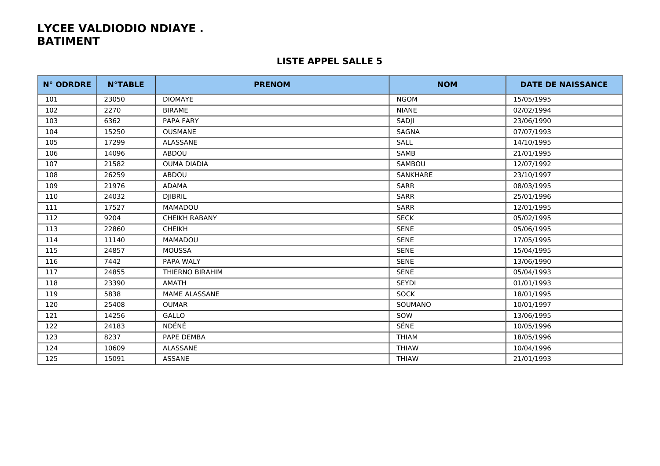| <b>N° ODRDRE</b> | <b>N°TABLE</b> | <b>PRENOM</b>        | <b>NOM</b>      | <b>DATE DE NAISSANCE</b> |
|------------------|----------------|----------------------|-----------------|--------------------------|
| 101              | 23050          | <b>DIOMAYE</b>       | <b>NGOM</b>     | 15/05/1995               |
| 102              | 2270           | <b>BIRAME</b>        | <b>NIANE</b>    | 02/02/1994               |
| 103              | 6362           | PAPA FARY            | SADJI           | 23/06/1990               |
| 104              | 15250          | <b>OUSMANE</b>       | <b>SAGNA</b>    | 07/07/1993               |
| 105              | 17299          | ALASSANE             | <b>SALL</b>     | 14/10/1995               |
| 106              | 14096          | ABDOU                | SAMB            | 21/01/1995               |
| 107              | 21582          | <b>OUMA DIADIA</b>   | SAMBOU          | 12/07/1992               |
| 108              | 26259          | ABDOU                | <b>SANKHARE</b> | 23/10/1997               |
| 109              | 21976          | ADAMA                | <b>SARR</b>     | 08/03/1995               |
| 110              | 24032          | <b>DJIBRIL</b>       | <b>SARR</b>     | 25/01/1996               |
| 111              | 17527          | <b>MAMADOU</b>       | <b>SARR</b>     | 12/01/1995               |
| 112              | 9204           | <b>CHEIKH RABANY</b> | <b>SECK</b>     | 05/02/1995               |
| 113              | 22860          | <b>CHEIKH</b>        | <b>SENE</b>     | 05/06/1995               |
| 114              | 11140          | MAMADOU              | <b>SENE</b>     | 17/05/1995               |
| 115              | 24857          | <b>MOUSSA</b>        | <b>SENE</b>     | 15/04/1995               |
| 116              | 7442           | PAPA WALY            | <b>SENE</b>     | 13/06/1990               |
| 117              | 24855          | THIERNO BIRAHIM      | <b>SENE</b>     | 05/04/1993               |
| 118              | 23390          | AMATH                | <b>SEYDI</b>    | 01/01/1993               |
| 119              | 5838           | MAME ALASSANE        | <b>SOCK</b>     | 18/01/1995               |
| 120              | 25408          | <b>OUMAR</b>         | SOUMANO         | 10/01/1997               |
| 121              | 14256          | <b>GALLO</b>         | SOW             | 13/06/1995               |
| 122              | 24183          | NDÉNÉ                | SÉNE            | 10/05/1996               |
| 123              | 8237           | PAPE DEMBA           | <b>THIAM</b>    | 18/05/1996               |
| 124              | 10609          | ALASSANE             | <b>THIAW</b>    | 10/04/1996               |
| 125              | 15091          | ASSANE               | <b>THIAW</b>    | 21/01/1993               |